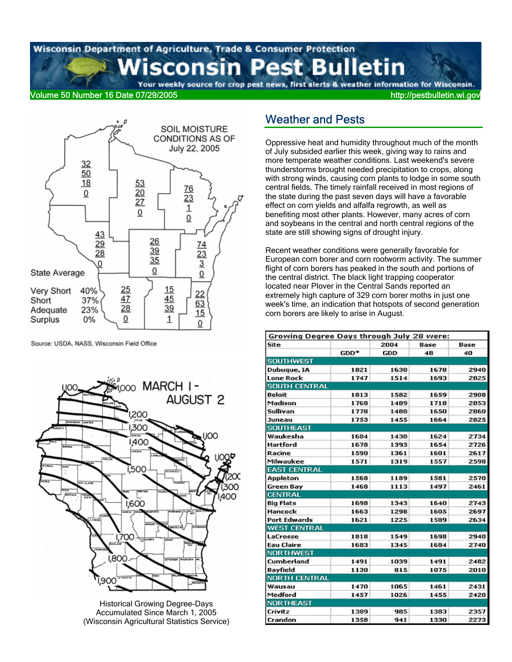# Wisconsin Department of Agriculture, Trade & Consumer Protection **Wisconsin Pest Bulletin**

Your weekly source for crop pest news, first alerts & weather information for Wisconsin. Volume 50 Number 16 Date 07/29/2005 http://pestbulletin.wi.gov

SOIL MOISTURE



Source: USDA, NASS, Wisconsin Field Office



Historical Growing Degree-Days Accumulated Since March 1, 2005 (Wisconsin Agricultural Statistics Service)

### Weather and Pests

Oppressive heat and humidity throughout much of the month of July subsided earlier this week, giving way to rains and more temperate weather conditions. Last weekend's severe thunderstorms brought needed precipitation to crops, along with strong winds, causing corn plants to lodge in some south central fields. The timely rainfall received in most regions of the state during the past seven days will have a favorable effect on corn yields and alfalfa regrowth, as well as benefiting most other plants. However, many acres of corn and soybeans in the central and north central regions of the state are still showing signs of drought injury.

Recent weather conditions were generally favorable for European corn borer and corn rootworm activity. The summer flight of corn borers has peaked in the south and portions of the central district. The black light trapping cooperator located near Plover in the Central Sands reported an extremely high capture of 329 corn borer moths in just one week's time, an indication that hotspots of second generation corn borers are likely to arise in August.

| Growing Degree Days through July 28 were: |      |      |      |      |
|-------------------------------------------|------|------|------|------|
| Site                                      |      | 2004 | Base | Base |
|                                           | GDD* | GDD  | 48   | 40   |
| <b>SOUTHWEST</b>                          |      |      |      |      |
| Dubuque, IA                               | 1821 | 1630 | 1678 | 2940 |
| <b>Lone Rock</b>                          | 1747 | 1514 | 1693 | 2825 |
| <b>SOUTH CENTRAL</b>                      |      |      |      |      |
| Beloit                                    | 1813 | 1582 | 1659 | 2908 |
| Madison                                   | 1768 | 1489 | 1718 | 2853 |
| Sullivan                                  | 1778 | 1480 | 1650 | 2860 |
| Juneau                                    | 1753 | 1455 | 1664 | 2825 |
| <b>SOUTHEAST</b>                          |      |      |      |      |
| Waukesha                                  | 1684 | 1430 | 1624 | 2734 |
| <b>Hartford</b>                           | 1678 | 1393 | 1654 | 2726 |
| Racine                                    | 1590 | 1361 | 1601 | 2617 |
| Milwaukee                                 | 1571 | 1319 | 1557 | 2598 |
| <b>EAST CENTRAL</b>                       |      |      |      |      |
| Appleton                                  | 1568 | 1189 | 1581 | 2570 |
| Green Bay                                 | 1468 | 1113 | 1497 | 2461 |
| <b>CENTRAL</b>                            |      |      |      |      |
| <b>Big Flats</b>                          | 1698 | 1343 | 1640 | 2743 |
| Hancock                                   | 1663 | 1298 | 1605 | 2697 |
| <b>Port Edwards</b>                       | 1621 | 1225 | 1589 | 2634 |
| <b>WEST CENTRAL</b>                       |      |      |      |      |
| LaCrosse                                  | 1818 | 1549 | 1698 | 2940 |
| <b>Eau Claire</b>                         | 1683 | 1345 | 1684 | 2740 |
| <b>NORTHWEST</b>                          |      |      |      |      |
| Cumberland                                | 1491 | 1039 | 1491 | 2482 |
| Bayfield                                  | 1130 | 815  | 1075 | 2010 |
| <b>NORTH CENTRAL</b>                      |      |      |      |      |
| Wausau                                    | 1470 | 1065 | 1461 | 2431 |
| Medford                                   | 1457 | 1026 | 1455 | 2420 |
| <b>NORTHEAST</b>                          |      |      |      |      |
| Crivitz                                   | 1389 | 985  | 1383 | 2357 |
| Crandon                                   | 1358 | 941  | 1330 | 2273 |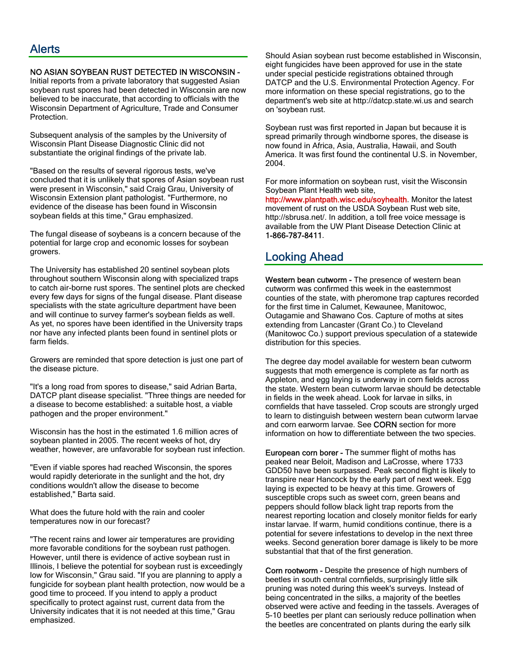#### NO ASIAN SOYBEAN RUST DETECTED IN WISCONSIN -

Initial reports from a private laboratory that suggested Asian soybean rust spores had been detected in Wisconsin are now believed to be inaccurate, that according to officials with the Wisconsin Department of Agriculture, Trade and Consumer Protection.

Subsequent analysis of the samples by the University of Wisconsin Plant Disease Diagnostic Clinic did not substantiate the original findings of the private lab.

"Based on the results of several rigorous tests, we've concluded that it is unlikely that spores of Asian soybean rust were present in Wisconsin," said Craig Grau, University of Wisconsin Extension plant pathologist. "Furthermore, no evidence of the disease has been found in Wisconsin soybean fields at this time," Grau emphasized.

The fungal disease of soybeans is a concern because of the potential for large crop and economic losses for soybean growers.

The University has established 20 sentinel soybean plots throughout southern Wisconsin along with specialized traps to catch air-borne rust spores. The sentinel plots are checked every few days for signs of the fungal disease. Plant disease specialists with the state agriculture department have been and will continue to survey farmer's soybean fields as well. As yet, no spores have been identified in the University traps nor have any infected plants been found in sentinel plots or farm fields.

Growers are reminded that spore detection is just one part of the disease picture.

"It's a long road from spores to disease," said Adrian Barta, DATCP plant disease specialist. "Three things are needed for a disease to become established: a suitable host, a viable pathogen and the proper environment."

Wisconsin has the host in the estimated 1.6 million acres of soybean planted in 2005. The recent weeks of hot, dry weather, however, are unfavorable for soybean rust infection.

"Even if viable spores had reached Wisconsin, the spores would rapidly deteriorate in the sunlight and the hot, dry conditions wouldn't allow the disease to become established," Barta said.

What does the future hold with the rain and cooler temperatures now in our forecast?

"The recent rains and lower air temperatures are providing more favorable conditions for the soybean rust pathogen. However, until there is evidence of active soybean rust in Illinois, I believe the potential for soybean rust is exceedingly low for Wisconsin," Grau said. "If you are planning to apply a fungicide for soybean plant health protection, now would be a good time to proceed. If you intend to apply a product specifically to protect against rust, current data from the University indicates that it is not needed at this time," Grau emphasized.

Should Asian soybean rust become established in Wisconsin, eight fungicides have been approved for use in the state under special pesticide registrations obtained through DATCP and the U.S. Environmental Protection Agency. For more information on these special registrations, go to the department's web site at http://datcp.state.wi.us and search on 'soybean rust.

Soybean rust was first reported in Japan but because it is spread primarily through windborne spores, the disease is now found in Africa, Asia, Australia, Hawaii, and South America. It was first found the continental U.S. in November, 2004.

For more information on soybean rust, visit the Wisconsin Soybean Plant Health web site,

http://www.plantpath.wisc.edu/soyhealth. Monitor the latest movement of rust on the USDA Soybean Rust web site, http://sbrusa.net/. In addition, a toll free voice message is available from the UW Plant Disease Detection Clinic at 1-866-787-8411.

### Looking Ahead

Western bean cutworm - The presence of western bean cutworm was confirmed this week in the easternmost counties of the state, with pheromone trap captures recorded for the first time in Calumet, Kewaunee, Manitowoc, Outagamie and Shawano Cos. Capture of moths at sites extending from Lancaster (Grant Co.) to Cleveland (Manitowoc Co.) support previous speculation of a statewide distribution for this species.

The degree day model available for western bean cutworm suggests that moth emergence is complete as far north as Appleton, and egg laying is underway in corn fields across the state. Western bean cutworm larvae should be detectable in fields in the week ahead. Look for larvae in silks, in cornfields that have tasseled. Crop scouts are strongly urged to learn to distinguish between western bean cutworm larvae and corn earworm larvae. See CORN section for more information on how to differentiate between the two species.

European corn borer - The summer flight of moths has peaked near Beloit, Madison and LaCrosse, where 1733 GDD50 have been surpassed. Peak second flight is likely to transpire near Hancock by the early part of next week. Egg laying is expected to be heavy at this time. Growers of susceptible crops such as sweet corn, green beans and peppers should follow black light trap reports from the nearest reporting location and closely monitor fields for early instar larvae. If warm, humid conditions continue, there is a potential for severe infestations to develop in the next three weeks. Second generation borer damage is likely to be more substantial that that of the first generation.

Corn rootworm - Despite the presence of high numbers of beetles in south central cornfields, surprisingly little silk pruning was noted during this week's surveys. Instead of being concentrated in the silks, a majority of the beetles observed were active and feeding in the tassels. Averages of 5-10 beetles per plant can seriously reduce pollination when the beetles are concentrated on plants during the early silk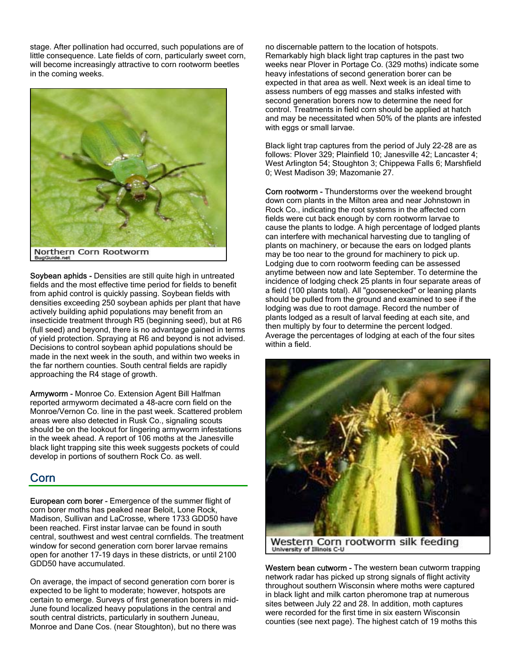stage. After pollination had occurred, such populations are of little consequence. Late fields of corn, particularly sweet corn, will become increasingly attractive to corn rootworm beetles in the coming weeks.



Soybean aphids - Densities are still quite high in untreated fields and the most effective time period for fields to benefit from aphid control is quickly passing. Soybean fields with densities exceeding 250 soybean aphids per plant that have actively building aphid populations may benefit from an insecticide treatment through R5 (beginning seed), but at R6 (full seed) and beyond, there is no advantage gained in terms of yield protection. Spraying at R6 and beyond is not advised. Decisions to control soybean aphid populations should be made in the next week in the south, and within two weeks in the far northern counties. South central fields are rapidly approaching the R4 stage of growth.

Armyworm - Monroe Co. Extension Agent Bill Halfman reported armyworm decimated a 48-acre corn field on the Monroe/Vernon Co. line in the past week. Scattered problem areas were also detected in Rusk Co., signaling scouts should be on the lookout for lingering armyworm infestations in the week ahead. A report of 106 moths at the Janesville black light trapping site this week suggests pockets of could develop in portions of southern Rock Co. as well.

### Corn

European corn borer - Emergence of the summer flight of corn borer moths has peaked near Beloit, Lone Rock, Madison, Sullivan and LaCrosse, where 1733 GDD50 have been reached. First instar larvae can be found in south central, southwest and west central cornfields. The treatment window for second generation corn borer larvae remains open for another 17-19 days in these districts, or until 2100 GDD50 have accumulated.

On average, the impact of second generation corn borer is expected to be light to moderate; however, hotspots are certain to emerge. Surveys of first generation borers in mid-June found localized heavy populations in the central and south central districts, particularly in southern Juneau, Monroe and Dane Cos. (near Stoughton), but no there was

no discernable pattern to the location of hotspots. Remarkably high black light trap captures in the past two weeks near Plover in Portage Co. (329 moths) indicate some heavy infestations of second generation borer can be expected in that area as well. Next week is an ideal time to assess numbers of egg masses and stalks infested with second generation borers now to determine the need for control. Treatments in field corn should be applied at hatch and may be necessitated when 50% of the plants are infested with eggs or small larvae.

Black light trap captures from the period of July 22-28 are as follows: Plover 329; Plainfield 10; Janesville 42; Lancaster 4; West Arlington 54; Stoughton 3; Chippewa Falls 6; Marshfield 0; West Madison 39; Mazomanie 27.

Corn rootworm - Thunderstorms over the weekend brought down corn plants in the Milton area and near Johnstown in Rock Co., indicating the root systems in the affected corn fields were cut back enough by corn rootworm larvae to cause the plants to lodge. A high percentage of lodged plants can interfere with mechanical harvesting due to tangling of plants on machinery, or because the ears on lodged plants may be too near to the ground for machinery to pick up. Lodging due to corn rootworm feeding can be assessed anytime between now and late September. To determine the incidence of lodging check 25 plants in four separate areas of a field (100 plants total). All "goosenecked" or leaning plants should be pulled from the ground and examined to see if the lodging was due to root damage. Record the number of plants lodged as a result of larval feeding at each site, and then multiply by four to determine the percent lodged. Average the percentages of lodging at each of the four sites within a field.



Western Corn rootworm silk feeding University of Illinois C-U

Western bean cutworm - The western bean cutworm trapping network radar has picked up strong signals of flight activity throughout southern Wisconsin where moths were captured in black light and milk carton pheromone trap at numerous sites between July 22 and 28. In addition, moth captures were recorded for the first time in six eastern Wisconsin counties (see next page). The highest catch of 19 moths this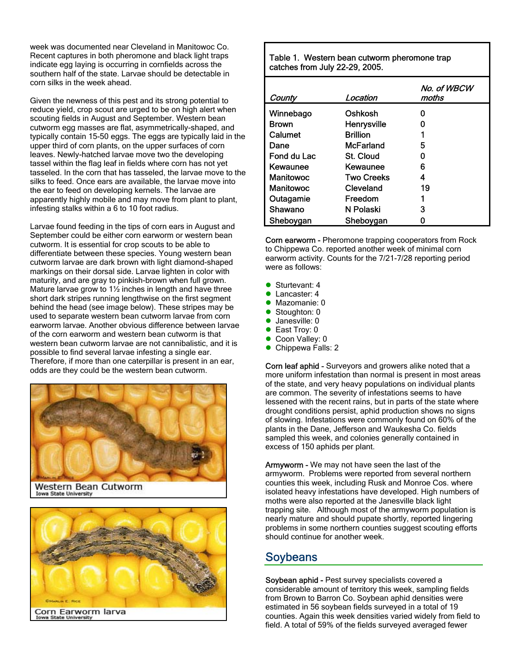week was documented near Cleveland in Manitowoc Co. Recent captures in both pheromone and black light traps indicate egg laying is occurring in cornfields across the southern half of the state. Larvae should be detectable in corn silks in the week ahead.

Given the newness of this pest and its strong potential to reduce yield, crop scout are urged to be on high alert when scouting fields in August and September. Western bean cutworm egg masses are flat, asymmetrically-shaped, and typically contain 15-50 eggs. The eggs are typically laid in the upper third of corn plants, on the upper surfaces of corn leaves. Newly-hatched larvae move two the developing tassel within the flag leaf in fields where corn has not yet tasseled. In the corn that has tasseled, the larvae move to the silks to feed. Once ears are available, the larvae move into the ear to feed on developing kernels. The larvae are apparently highly mobile and may move from plant to plant, infesting stalks within a 6 to 10 foot radius.

Larvae found feeding in the tips of corn ears in August and September could be either corn earworm or western bean cutworm. It is essential for crop scouts to be able to differentiate between these species. Young western bean cutworm larvae are dark brown with light diamond-shaped markings on their dorsal side. Larvae lighten in color with maturity, and are gray to pinkish-brown when full grown. Mature larvae grow to 1½ inches in length and have three short dark stripes running lengthwise on the first segment behind the head (see image below). These stripes may be used to separate western bean cutworm larvae from corn earworm larvae. Another obvious difference between larvae of the corn earworm and western bean cutworm is that western bean cutworm larvae are not cannibalistic, and it is possible to find several larvae infesting a single ear. Therefore, if more than one caterpillar is present in an ear, odds are they could be the western bean cutworm.



Western Bean Cutworm Iowa State University



Table 1. Western bean cutworm pheromone trap catches from July 22-29, 2005.

| County       | Location         | No. of WBCW<br>moths |
|--------------|------------------|----------------------|
| Winnebago    | Oshkosh          | ი                    |
| <b>Brown</b> | Henrysville      | ი                    |
| Calumet      | <b>Brillion</b>  |                      |
| Dane         | McFarland        | 5                    |
| Fond du Lac  | <b>St. Cloud</b> | ი                    |
| Kewaunee     | Kewaunee         | 6                    |
| Manitowoc    | Two Creeks       | 4                    |
| Manitowoc    | Cleveland        | 19                   |
| Outagamie    | Freedom          |                      |
| Shawano      | N Polaski        | 3                    |
| Sheboygan    | Sheboygan        |                      |

Corn earworm - Pheromone trapping cooperators from Rock to Chippewa Co. reported another week of minimal corn earworm activity. Counts for the 7/21-7/28 reporting period were as follows:

- $\bullet$  Sturtevant: 4
- **Lancaster: 4**
- $\bullet$  Mazomanie: 0
- $\bullet$  Stoughton: 0
- $\bullet$  Janesville: 0
- $\bullet$  East Troy: 0
- Coon Valley: 0
- Chippewa Falls: 2

Corn leaf aphid - Surveyors and growers alike noted that a more uniform infestation than normal is present in most areas of the state, and very heavy populations on individual plants are common. The severity of infestations seems to have lessened with the recent rains, but in parts of the state where drought conditions persist, aphid production shows no signs of slowing. Infestations were commonly found on 60% of the plants in the Dane, Jefferson and Waukesha Co. fields sampled this week, and colonies generally contained in excess of 150 aphids per plant.

Armyworm - We may not have seen the last of the armyworm. Problems were reported from several northern counties this week, including Rusk and Monroe Cos. where isolated heavy infestations have developed. High numbers of moths were also reported at the Janesville black light trapping site. Although most of the armyworm population is nearly mature and should pupate shortly, reported lingering problems in some northern counties suggest scouting efforts should continue for another week.

### **Soybeans**

Soybean aphid - Pest survey specialists covered a considerable amount of territory this week, sampling fields from Brown to Barron Co. Soybean aphid densities were estimated in 56 soybean fields surveyed in a total of 19 counties. Again this week densities varied widely from field to field. A total of 59% of the fields surveyed averaged fewer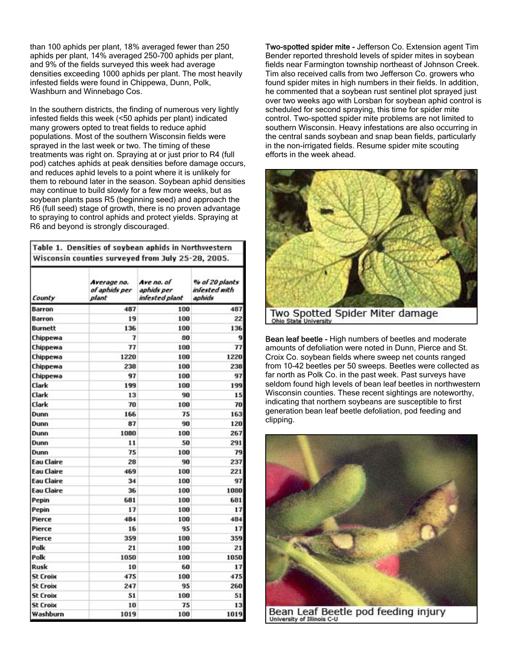than 100 aphids per plant, 18% averaged fewer than 250 aphids per plant, 14% averaged 250-700 aphids per plant, and 9% of the fields surveyed this week had average densities exceeding 1000 aphids per plant. The most heavily infested fields were found in Chippewa, Dunn, Polk, Washburn and Winnebago Cos.

In the southern districts, the finding of numerous very lightly infested fields this week (<50 aphids per plant) indicated many growers opted to treat fields to reduce aphid populations. Most of the southern Wisconsin fields were sprayed in the last week or two. The timing of these treatments was right on. Spraying at or just prior to R4 (full pod) catches aphids at peak densities before damage occurs, and reduces aphid levels to a point where it is unlikely for them to rebound later in the season. Soybean aphid densities may continue to build slowly for a few more weeks, but as soybean plants pass R5 (beginning seed) and approach the R6 (full seed) stage of growth, there is no proven advantage to spraying to control aphids and protect yields. Spraying at R6 and beyond is strongly discouraged.

| Wisconsin counties surveyed from July 25-28, 2005. |                                       |                                            |                                           |  |  |  |  |  |
|----------------------------------------------------|---------------------------------------|--------------------------------------------|-------------------------------------------|--|--|--|--|--|
| County                                             | Average no.<br>of aphids per<br>plant | Ave no. of<br>aphids per<br>infested plant | % of 20 plants<br>infested with<br>aphids |  |  |  |  |  |
| Barron                                             | 487                                   | 100                                        | 487                                       |  |  |  |  |  |
| Barron                                             | 19                                    | 100                                        | 22                                        |  |  |  |  |  |
| Burnett                                            | 136                                   | 100                                        | 136                                       |  |  |  |  |  |
| Chippewa                                           | 7                                     | 80                                         | 9                                         |  |  |  |  |  |
| Chippewa                                           | 77                                    | 100                                        | 77                                        |  |  |  |  |  |
| Chippewa                                           | 1220                                  | 100                                        | 1220                                      |  |  |  |  |  |
| Chippewa                                           | 238                                   | 100                                        | 238                                       |  |  |  |  |  |
| Chippewa                                           | 97                                    | 100                                        | 97                                        |  |  |  |  |  |
| Clark                                              | 199                                   | 100                                        | 199                                       |  |  |  |  |  |
| Clark                                              | 13                                    | 90                                         | 15                                        |  |  |  |  |  |
| Clark                                              | 70                                    | 100                                        | 70                                        |  |  |  |  |  |
| Dunn                                               | 166                                   | 75                                         | 163                                       |  |  |  |  |  |
| Dunn                                               | 87                                    | 90                                         | 120                                       |  |  |  |  |  |
| Dunn                                               | 1080                                  | 100                                        | 267                                       |  |  |  |  |  |
| Dunn                                               | 11                                    | 50                                         | 291                                       |  |  |  |  |  |
| Dunn                                               | 75                                    | 100                                        | 79                                        |  |  |  |  |  |
| <b>Eau Claire</b>                                  | 28                                    | 90                                         | 237                                       |  |  |  |  |  |
| <b>Eau Claire</b>                                  | 469                                   | 100                                        | 221                                       |  |  |  |  |  |
| <b>Eau Claire</b>                                  | 34                                    | 100                                        | 97                                        |  |  |  |  |  |
| <b>Eau Claire</b>                                  | 36                                    | 100                                        | 1080                                      |  |  |  |  |  |
| Pepin                                              | 681                                   | 100                                        | 681                                       |  |  |  |  |  |
| Pepin                                              | 17                                    | 100                                        | 17                                        |  |  |  |  |  |
| Pierce                                             | 484                                   | 100                                        | 484                                       |  |  |  |  |  |
| Pierce                                             | 16                                    | 95                                         | 17                                        |  |  |  |  |  |
| Pierce                                             | 359                                   | 100                                        | 359                                       |  |  |  |  |  |
| Polk                                               | 21                                    | 100                                        | 21                                        |  |  |  |  |  |
| Polk                                               | 1050                                  | 100                                        | 1050                                      |  |  |  |  |  |
| Rusk                                               | 10                                    | 60                                         | 17                                        |  |  |  |  |  |
| <b>St Croix</b>                                    | 475                                   | 100                                        | 475                                       |  |  |  |  |  |
| <b>St Croix</b>                                    | 247                                   | 95                                         | 260                                       |  |  |  |  |  |
| <b>St Croix</b>                                    | 51                                    | 100                                        | 51                                        |  |  |  |  |  |
| <b>St Croix</b>                                    | 10                                    | 75                                         | 13                                        |  |  |  |  |  |
| Washburn                                           | 1019                                  | 100                                        | 1019                                      |  |  |  |  |  |

Two-spotted spider mite - Jefferson Co. Extension agent Tim Bender reported threshold levels of spider mites in soybean fields near Farmington township northeast of Johnson Creek. Tim also received calls from two Jefferson Co. growers who found spider mites in high numbers in their fields. In addition, he commented that a soybean rust sentinel plot sprayed just over two weeks ago with Lorsban for soybean aphid control is scheduled for second spraying, this time for spider mite control. Two-spotted spider mite problems are not limited to southern Wisconsin. Heavy infestations are also occurring in the central sands soybean and snap bean fields, particularly in the non-irrigated fields. Resume spider mite scouting efforts in the week ahead.



Bean leaf beetle - High numbers of beetles and moderate amounts of defoliation were noted in Dunn, Pierce and St. Croix Co. soybean fields where sweep net counts ranged from 10-42 beetles per 50 sweeps. Beetles were collected as far north as Polk Co. in the past week. Past surveys have seldom found high levels of bean leaf beetles in northwestern Wisconsin counties. These recent sightings are noteworthy, indicating that northern soybeans are susceptible to first generation bean leaf beetle defoliation, pod feeding and clipping.



Bean Leaf Beetle pod feeding injury University of Illinois C-U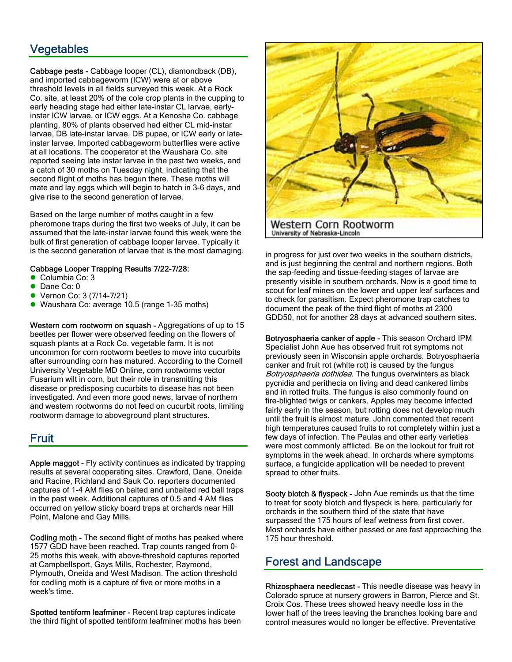### Vegetables

Cabbage pests - Cabbage looper (CL), diamondback (DB), and imported cabbageworm (ICW) were at or above threshold levels in all fields surveyed this week. At a Rock Co. site, at least 20% of the cole crop plants in the cupping to early heading stage had either late-instar CL larvae, earlyinstar ICW larvae, or ICW eggs. At a Kenosha Co. cabbage planting, 80% of plants observed had either CL mid-instar larvae, DB late-instar larvae, DB pupae, or ICW early or lateinstar larvae. Imported cabbageworm butterflies were active at all locations. The cooperator at the Waushara Co. site reported seeing late instar larvae in the past two weeks, and a catch of 30 moths on Tuesday night, indicating that the second flight of moths has begun there. These moths will mate and lay eggs which will begin to hatch in 3-6 days, and give rise to the second generation of larvae.

Based on the large number of moths caught in a few pheromone traps during the first two weeks of July, it can be assumed that the late-instar larvae found this week were the bulk of first generation of cabbage looper larvae. Typically it is the second generation of larvae that is the most damaging.

#### Cabbage Looper Trapping Results 7/22-7/28:

- Columbia Co: 3
- Dane Co: 0
- z Vernon Co: 3 (7/14-7/21)
- Waushara Co: average 10.5 (range 1-35 moths)

Western corn rootworm on squash - Aggregations of up to 15 beetles per flower were observed feeding on the flowers of squash plants at a Rock Co. vegetable farm. It is not uncommon for corn rootworm beetles to move into cucurbits after surrounding corn has matured. According to the Cornell University Vegetable MD Online, corn rootworms vector Fusarium wilt in corn, but their role in transmitting this disease or predisposing cucurbits to disease has not been investigated. And even more good news, larvae of northern and western rootworms do not feed on cucurbit roots, limiting rootworm damage to aboveground plant structures.

### **Fruit**

Apple maggot - Fly activity continues as indicated by trapping results at several cooperating sites. Crawford, Dane, Oneida and Racine, Richland and Sauk Co. reporters documented captures of 1-4 AM flies on baited and unbaited red ball traps in the past week. Additional captures of 0.5 and 4 AM flies occurred on yellow sticky board traps at orchards near Hill Point, Malone and Gay Mills.

Codling moth - The second flight of moths has peaked where 1577 GDD have been reached. Trap counts ranged from 0- 25 moths this week, with above-threshold captures reported at Campbellsport, Gays Mills, Rochester, Raymond, Plymouth, Oneida and West Madison. The action threshold for codling moth is a capture of five or more moths in a week's time.

Spotted tentiform leafminer - Recent trap captures indicate the third flight of spotted tentiform leafminer moths has been



in progress for just over two weeks in the southern districts, and is just beginning the central and northern regions. Both the sap-feeding and tissue-feeding stages of larvae are presently visible in southern orchards. Now is a good time to scout for leaf mines on the lower and upper leaf surfaces and to check for parasitism. Expect pheromone trap catches to document the peak of the third flight of moths at 2300 GDD50, not for another 28 days at advanced southern sites.

Botryosphaeria canker of apple - This season Orchard IPM Specialist John Aue has observed fruit rot symptoms not previously seen in Wisconsin apple orchards. Botryosphaeria canker and fruit rot (white rot) is caused by the fungus Botryosphaeria dothidea. The fungus overwinters as black pycnidia and perithecia on living and dead cankered limbs and in rotted fruits. The fungus is also commonly found on fire-blighted twigs or cankers. Apples may become infected fairly early in the season, but rotting does not develop much until the fruit is almost mature. John commented that recent high temperatures caused fruits to rot completely within just a few days of infection. The Paulas and other early varieties were most commonly afflicted. Be on the lookout for fruit rot symptoms in the week ahead. In orchards where symptoms surface, a fungicide application will be needed to prevent spread to other fruits.

Sooty blotch & flyspeck - John Aue reminds us that the time to treat for sooty blotch and flyspeck is here, particularly for orchards in the southern third of the state that have surpassed the 175 hours of leaf wetness from first cover. Most orchards have either passed or are fast approaching the 175 hour threshold.

### Forest and Landscape

Rhizosphaera needlecast - This needle disease was heavy in Colorado spruce at nursery growers in Barron, Pierce and St. Croix Cos. These trees showed heavy needle loss in the lower half of the trees leaving the branches looking bare and control measures would no longer be effective. Preventative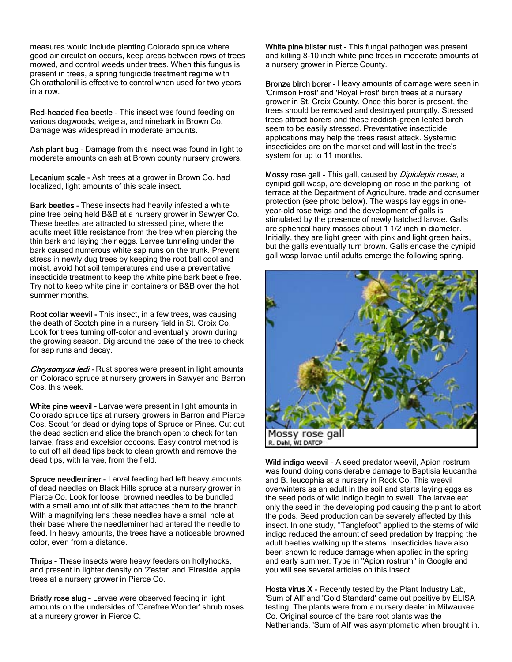measures would include planting Colorado spruce where good air circulation occurs, keep areas between rows of trees mowed, and control weeds under trees. When this fungus is present in trees, a spring fungicide treatment regime with Chlorathalonil is effective to control when used for two years in a row.

Red-headed flea beetle - This insect was found feeding on various dogwoods, weigela, and ninebark in Brown Co. Damage was widespread in moderate amounts.

Ash plant bug - Damage from this insect was found in light to moderate amounts on ash at Brown county nursery growers.

Lecanium scale - Ash trees at a grower in Brown Co. had localized, light amounts of this scale insect.

Bark beetles - These insects had heavily infested a white pine tree being held B&B at a nursery grower in Sawyer Co. These beetles are attracted to stressed pine, where the adults meet little resistance from the tree when piercing the thin bark and laying their eggs. Larvae tunneling under the bark caused numerous white sap runs on the trunk. Prevent stress in newly dug trees by keeping the root ball cool and moist, avoid hot soil temperatures and use a preventative insecticide treatment to keep the white pine bark beetle free. Try not to keep white pine in containers or B&B over the hot summer months.

Root collar weevil - This insect, in a few trees, was causing the death of Scotch pine in a nursery field in St. Croix Co. Look for trees turning off-color and eventually brown during the growing season. Dig around the base of the tree to check for sap runs and decay.

Chrysomyxa ledi - Rust spores were present in light amounts on Colorado spruce at nursery growers in Sawyer and Barron Cos. this week.

White pine weevil - Larvae were present in light amounts in Colorado spruce tips at nursery growers in Barron and Pierce Cos. Scout for dead or dying tops of Spruce or Pines. Cut out the dead section and slice the branch open to check for tan larvae, frass and excelsior cocoons. Easy control method is to cut off all dead tips back to clean growth and remove the dead tips, with larvae, from the field.

Spruce needleminer - Larval feeding had left heavy amounts of dead needles on Black Hills spruce at a nursery grower in Pierce Co. Look for loose, browned needles to be bundled with a small amount of silk that attaches them to the branch. With a magnifying lens these needles have a small hole at their base where the needleminer had entered the needle to feed. In heavy amounts, the trees have a noticeable browned color, even from a distance.

Thrips - These insects were heavy feeders on hollyhocks, and present in lighter density on 'Zestar' and 'Fireside' apple trees at a nursery grower in Pierce Co.

Bristly rose slug - Larvae were observed feeding in light amounts on the undersides of 'Carefree Wonder' shrub roses at a nursery grower in Pierce C.

White pine blister rust - This fungal pathogen was present and killing 8-10 inch white pine trees in moderate amounts at a nursery grower in Pierce County.

Bronze birch borer - Heavy amounts of damage were seen in 'Crimson Frost' and 'Royal Frost' birch trees at a nursery grower in St. Croix County. Once this borer is present, the trees should be removed and destroyed promptly. Stressed trees attract borers and these reddish-green leafed birch seem to be easily stressed. Preventative insecticide applications may help the trees resist attack. Systemic insecticides are on the market and will last in the tree's system for up to 11 months.

Mossy rose gall - This gall, caused by *Diplolepis rosae*, a cynipid gall wasp, are developing on rose in the parking lot terrace at the Department of Agriculture, trade and consumer protection (see photo below). The wasps lay eggs in oneyear-old rose twigs and the development of galls is stimulated by the presence of newly hatched larvae. Galls are spherical hairy masses about 1 1/2 inch in diameter. Initially, they are light green with pink and light green hairs, but the galls eventually turn brown. Galls encase the cynipid gall wasp larvae until adults emerge the following spring.



Wild indigo weevil - A seed predator weevil, Apion rostrum, was found doing considerable damage to Baptisia leucantha and B. leucophia at a nursery in Rock Co. This weevil overwinters as an adult in the soil and starts laying eggs as the seed pods of wild indigo begin to swell. The larvae eat only the seed in the developing pod causing the plant to abort the pods. Seed production can be severely affected by this insect. In one study, "Tanglefoot" applied to the stems of wild indigo reduced the amount of seed predation by trapping the adult beetles walking up the stems. Insecticides have also been shown to reduce damage when applied in the spring and early summer. Type in "Apion rostrum" in Google and you will see several articles on this insect.

**Hosta virus**  $X$  **- Recently tested by the Plant Industry Lab,** 'Sum of All' and 'Gold Standard' came out positive by ELISA testing. The plants were from a nursery dealer in Milwaukee Co. Original source of the bare root plants was the Netherlands. 'Sum of All' was asymptomatic when brought in.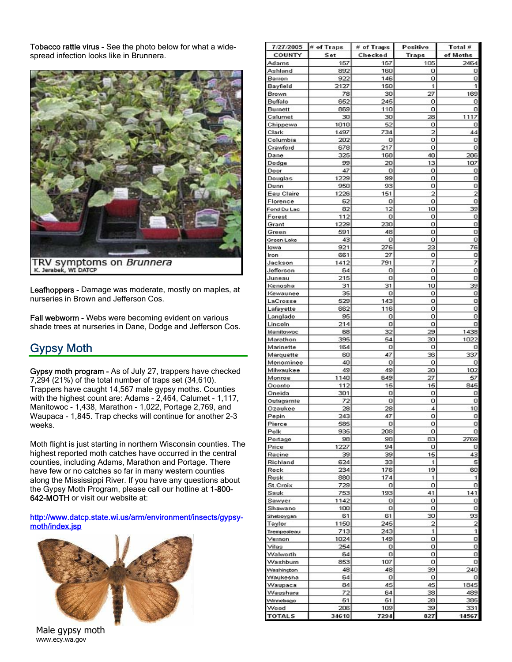Tobacco rattle virus - See the photo below for what a widespread infection looks like in Brunnera.



TRV symptoms on *Brunnera*<br>K. Jerabek, WI DATCP

Leafhoppers - Damage was moderate, mostly on maples, at nurseries in Brown and Jefferson Cos.

Fall webworm - Webs were becoming evident on various shade trees at nurseries in Dane, Dodge and Jefferson Cos.

## Gypsy Moth

Gypsy moth program - As of July 27, trappers have checked 7,294 (21%) of the total number of traps set (34,610). Trappers have caught 14,567 male gypsy moths. Counties with the highest count are: Adams - 2,464, Calumet - 1,117, Manitowoc - 1,438, Marathon - 1,022, Portage 2,769, and Waupaca - 1,845. Trap checks will continue for another 2-3 weeks.

Moth flight is just starting in northern Wisconsin counties. The highest reported moth catches have occurred in the central counties, including Adams, Marathon and Portage. There have few or no catches so far in many western counties along the Mississippi River. If you have any questions about the Gypsy Moth Program, please call our hotline at 1-800- 642-MOTH or visit our website at:

http://www.datcp.state.wi.us/arm/environment/insects/gypsymoth/index.jsp



| Male gypsy moth |
|-----------------|
| www.ecy.wa.gov  |

| 7/27/2005              | # of Traps | # of Traps | Positive     | Total #             |
|------------------------|------------|------------|--------------|---------------------|
| COUNTY                 | Set        | Checked    | <b>Traps</b> | of Moths            |
| Adams<br>Ashland       | 157<br>892 | 157<br>160 | 105<br>о     | 2464<br>o           |
| Barron                 | 922        | 146        | ο            | ol                  |
| Bayfield               | 2127       | 150        | 1            | $\mathbf{1}$        |
| Brown                  | 78         | 30         | 27           | 169                 |
| Buffalo                | 652        | 245        | о            | o                   |
| Burnett                | 869        | 110        | ο            | o                   |
| Calumet                | 30         | 30         | 28           | 1117                |
| Chippewa               | 1010       | 52         | о            | о                   |
| Clark                  | 1497       | 734        | 2            | 44                  |
| Columbia               | 202        | о<br>217   | о            | o<br>$\overline{0}$ |
| Crawford<br>Dane       | 678<br>325 | 168        | о<br>48      | 286                 |
| Dodge                  | 99         | 20         | 13           | 107                 |
| Door                   | 47         | o          | о            | 이                   |
| Douglas                | 1229       | 99         | о            | ol                  |
| Dunn                   | 950        | 93         | о            | 이                   |
| Eau Claire             | 1226       | 151        | 2            | $\overline{2}$      |
| Florence               | 62         | о          | о            | 이                   |
| Fond Du Lac            | 82         | 12         | 10           | 39                  |
| Forest                 | 112        | о          | о            | 이                   |
| Grant                  | 1229       | 230        | о            | ol                  |
| Green                  | 591<br>43  | 48<br>o    | о<br>о       | o<br>이              |
| Green Lake<br>lowa     | 921        | 276        | 23           | 76                  |
| Iron                   | 661        | 27         | о            | o                   |
| Jackson                | 1412       | 791        | 7            | 7                   |
| Jefferson              | 64         | о          | о            | o                   |
| Juneau                 | 215        | o          | 0            | ol                  |
| Kenosha                | 31         | 31         | 10           | 39                  |
| Kewaunee               | 35         | o          | о            | o                   |
| LaCrosse               | 529        | 143        | о            | o                   |
| Lafayette              | 662        | 116        | о            | ٥l                  |
| Langlade               | 95<br>214  | 0<br>o     | о<br>о       | o<br>o              |
| Lincoln<br>Manitowoc   | 68         | 321        | 29           | 1438                |
| Marathon               | 395        | 54         | න            | 1022                |
| Marinette              | 164        | о          | о            | o                   |
| Marquette              | 60         | 47         | 36           | 337                 |
| Menominee              | 40         | o          | о            | 이                   |
| Milwaukee              | 49         | 49         | 28           | 102                 |
| Monroe                 | 1140       | 649        | 27           | 57                  |
| Oconto                 | 112        | 15         | 15           | 845                 |
| Oneida                 | 301        | о          | о            | o                   |
| Outagamie<br>Ozaukee   | 72<br>28   | 0<br>28    | о<br>4       | o<br>10             |
| Pepin                  | 243        | 47         | о            | 이                   |
| Pierce                 | 585        | 미          | о            | 이                   |
| Polk                   | 935        | 208        | о            | o                   |
| Portage                | 98         | 98         | 83           | 2769                |
| Price                  | 1227       | 94         | 0            | o                   |
| Racine                 | 39         | 39         | 15           | 43                  |
| Richland               | 624        | 33         | 1            | 5                   |
| Rock                   | 234        | 176        | 19           | 60                  |
| Rusk                   | 880        | 174        | 1            | 1<br>o              |
| St.Croix<br>Sauk       | 729<br>753 | 0<br>193   | о<br>41      | 141                 |
| Sawyer                 | 1142       | o          | о            | o                   |
| Shawano                | 100        | o          | о            | o                   |
| Sheboygan              | 61         | 61         | 30           | 93                  |
| Taylor                 | 1150       | 245        | 2            | $\overline{2}$      |
| Trempealeau            | 713        | 243        | 1            | $\mathbf{1}$        |
| Vernon                 | 1024       | 149        | о            | 이                   |
| Vilas                  | 254        | o          | о            | o                   |
| Walworth               | 64         | ol         | о            | o                   |
| Washbum                | 853        | 107        | о            | O<br>240            |
| Washington<br>Waukesha | 48<br>64   | 48<br>o    | 39<br>о      | o                   |
| Waupaca                | 84         | 45         | 45           | 1845                |
| Waushara               | 721        | 64         | 38           | 489                 |
| Winnebago              | 51         | 51         | 28           | 385                 |
| Vvood                  | 206        | 109        | 39           | 331                 |
| <b>TOTALS</b>          | 34610      | 7294       | 827          | 14567               |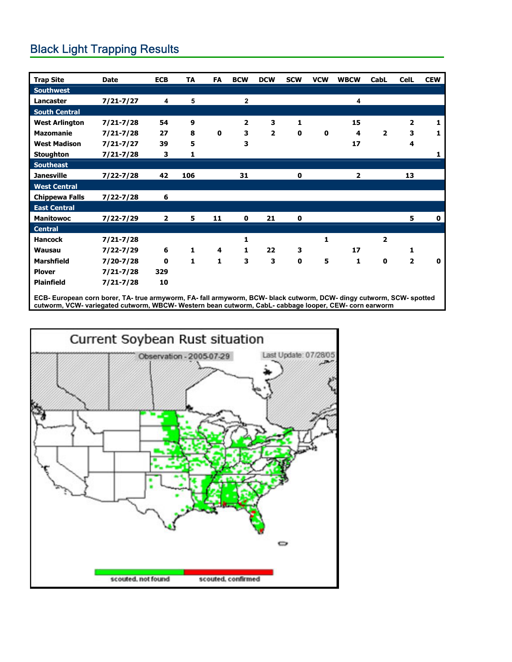## Black Light Trapping Results

| <b>Trap Site</b>      | <b>Date</b>   | <b>ECB</b>              | TA           | FA | <b>BCW</b>              | <b>DCW</b>     | <b>SCW</b>  | <b>VCW</b> | <b>WBCW</b> | CabL                    | <b>CelL</b>             | <b>CEW</b>  |
|-----------------------|---------------|-------------------------|--------------|----|-------------------------|----------------|-------------|------------|-------------|-------------------------|-------------------------|-------------|
| <b>Southwest</b>      |               |                         |              |    |                         |                |             |            |             |                         |                         |             |
| Lancaster             | $7/21 - 7/27$ | 4                       | 5            |    | 2                       |                |             |            | 4           |                         |                         |             |
| <b>South Central</b>  |               |                         |              |    |                         |                |             |            |             |                         |                         |             |
| <b>West Arlington</b> | $7/21 - 7/28$ | 54                      | 9            |    | $\overline{\mathbf{2}}$ | 3              | 1           |            | 15          |                         | $\overline{\mathbf{z}}$ | 1           |
| <b>Mazomanie</b>      | $7/21 - 7/28$ | 27                      | 8            | 0  | 3                       | $\overline{2}$ | 0           | 0          | 4           | $\overline{\mathbf{2}}$ | 3                       | 1           |
| <b>West Madison</b>   | $7/21 - 7/27$ | 39                      | 5            |    | 3                       |                |             |            | 17          |                         | 4                       |             |
| <b>Stoughton</b>      | $7/21 - 7/28$ | 3                       | 1            |    |                         |                |             |            |             |                         |                         | 1           |
| <b>Southeast</b>      |               |                         |              |    |                         |                |             |            |             |                         |                         |             |
| <b>Janesville</b>     | $7/22 - 7/28$ | 42                      | 106          |    | 31                      |                | 0           |            | 2           |                         | 13                      |             |
| <b>West Central</b>   |               |                         |              |    |                         |                |             |            |             |                         |                         |             |
| <b>Chippewa Falls</b> | $7/22 - 7/28$ | 6                       |              |    |                         |                |             |            |             |                         |                         |             |
| <b>East Central</b>   |               |                         |              |    |                         |                |             |            |             |                         |                         |             |
| <b>Manitowoc</b>      | $7/22 - 7/29$ | $\overline{\mathbf{2}}$ | 5            | 11 | $\mathbf 0$             | 21             | 0           |            |             |                         | 5                       | $\mathbf 0$ |
| <b>Central</b>        |               |                         |              |    |                         |                |             |            |             |                         |                         |             |
| <b>Hancock</b>        | $7/21 - 7/28$ |                         |              |    | 1                       |                |             | 1          |             | $\overline{\mathbf{2}}$ |                         |             |
| <b>Wausau</b>         | $7/22 - 7/29$ | 6                       | 1            | 4  | 1                       | 22             | 3           |            | 17          |                         | 1                       |             |
| <b>Marshfield</b>     | $7/20 - 7/28$ | 0                       | $\mathbf{1}$ | 1  | 3                       | 3              | $\mathbf 0$ | 5          | 1           | $\mathbf 0$             | $\overline{2}$          | 0           |
| <b>Plover</b>         | $7/21 - 7/28$ | 329                     |              |    |                         |                |             |            |             |                         |                         |             |
| <b>Plainfield</b>     | $7/21 - 7/28$ | 10                      |              |    |                         |                |             |            |             |                         |                         |             |

**ECB- European corn borer, TA- true armyworm, FA- fall armyworm, BCW- black cutworm, DCW- dingy cutworm, SCW- spotted cutworm, VCW- variegated cutworm, WBCW- Western bean cutworm, CabL- cabbage looper, CEW- corn earworm** 

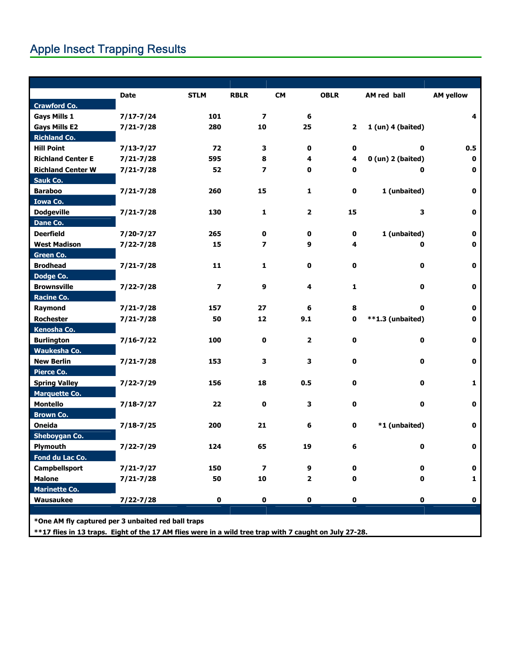## Apple Insect Trapping Results

|                          | Date          | <b>STLM</b>             | <b>RBLR</b>              | <b>CM</b>      | <b>OBLR</b>  | AM red ball           | <b>AM yellow</b> |
|--------------------------|---------------|-------------------------|--------------------------|----------------|--------------|-----------------------|------------------|
| <b>Crawford Co.</b>      |               |                         |                          |                |              |                       |                  |
| <b>Gays Mills 1</b>      | $7/17 - 7/24$ | 101                     | $\overline{\phantom{a}}$ | 6              |              |                       | 4                |
| <b>Gays Mills E2</b>     | $7/21 - 7/28$ | 280                     | 10                       | 25             | $\mathbf{2}$ | 1 (un) 4 (baited)     |                  |
| <b>Richland Co.</b>      |               |                         |                          |                |              |                       |                  |
| <b>Hill Point</b>        | $7/13 - 7/27$ | 72                      | 3                        | 0              | 0            | 0                     | 0.5              |
| <b>Richland Center E</b> | $7/21 - 7/28$ | 595                     | 8                        | 4              | 4            | $0$ (un) $2$ (baited) | 0                |
| <b>Richland Center W</b> | $7/21 - 7/28$ | 52                      | $\overline{\phantom{a}}$ | 0              | 0            | 0                     | 0                |
| <b>Sauk Co.</b>          |               |                         |                          |                |              |                       |                  |
| <b>Baraboo</b>           | $7/21 - 7/28$ | 260                     | 15                       | 1              | $\mathbf 0$  | 1 (unbaited)          | $\mathbf 0$      |
| <b>Iowa Co.</b>          |               |                         |                          |                |              |                       |                  |
| <b>Dodgeville</b>        | $7/21 - 7/28$ | 130                     | $\mathbf{1}$             | $\overline{2}$ | 15           | 3                     | 0                |
| <b>Dane Co.</b>          |               |                         |                          |                |              |                       |                  |
| <b>Deerfield</b>         | $7/20 - 7/27$ | 265                     | 0                        | 0              | 0            | 1 (unbaited)          | 0                |
| <b>West Madison</b>      | 7/22-7/28     | 15                      | $\overline{\phantom{a}}$ | 9              | 4            | 0                     | $\mathbf 0$      |
| Green Co.                |               |                         |                          |                |              |                       |                  |
| <b>Brodhead</b>          | $7/21 - 7/28$ | 11                      | $\mathbf{1}$             | $\mathbf 0$    | 0            | 0                     | $\bf{0}$         |
| Dodge Co.                |               |                         |                          |                |              |                       |                  |
| <b>Brownsville</b>       | $7/22 - 7/28$ | $\overline{\mathbf{z}}$ | 9                        | 4              | 1            | 0                     | $\mathbf 0$      |
| Racine Co.               |               |                         |                          |                |              |                       |                  |
| Raymond                  | $7/21 - 7/28$ | 157                     | 27                       | 6              | 8            | 0                     | 0                |
| <b>Rochester</b>         | $7/21 - 7/28$ | 50                      | 12                       | 9.1            | 0            | **1.3 (unbaited)      | 0                |
| Kenosha Co.              |               |                         |                          |                |              |                       |                  |
| <b>Burlington</b>        | $7/16 - 7/22$ | 100                     | 0                        | $\mathbf{2}$   | $\mathbf 0$  | $\mathbf 0$           | $\mathbf 0$      |
| Waukesha Co.             |               |                         |                          |                |              |                       |                  |
| <b>New Berlin</b>        | $7/21 - 7/28$ | 153                     | 3                        | 3              | 0            | 0                     | $\mathbf 0$      |
| Pierce Co.               |               |                         |                          |                |              |                       |                  |
| <b>Spring Valley</b>     | $7/22 - 7/29$ | 156                     | 18                       | 0.5            | 0            | 0                     | 1                |
| <b>Marquette Co.</b>     |               |                         |                          |                |              |                       |                  |
| <b>Montello</b>          | $7/18 - 7/27$ | 22                      | 0                        | 3              | 0            | 0                     | 0                |
| <b>Brown Co.</b>         |               |                         |                          |                |              |                       |                  |
| Oneida                   | $7/18 - 7/25$ | 200                     | 21                       | 6              | 0            | *1 (unbaited)         | 0                |
| <b>Sheboygan Co.</b>     |               |                         |                          |                |              |                       |                  |
| Plymouth                 | 7/22-7/29     | 124                     | 65                       | 19             | 6            | $\mathbf 0$           | $\bf{0}$         |
| Fond du Lac Co.          |               |                         |                          |                |              |                       |                  |
| Campbellsport            | $7/21 - 7/27$ | 150                     | $\overline{\phantom{a}}$ | 9              | 0            | 0                     | $\mathbf 0$      |
| <b>Malone</b>            | $7/21 - 7/28$ | 50                      | 10                       | 2              | 0            | 0                     | 1                |
| <b>Marinette Co.</b>     |               |                         |                          |                |              |                       |                  |
| Wausaukee                | $7/22 - 7/28$ | $\mathbf 0$             | 0                        | $\mathbf 0$    | $\mathbf 0$  | 0                     | $\mathbf 0$      |

**\*\*17 flies in 13 traps. Eight of the 17 AM flies were in a wild tree trap with 7 caught on July 27-28.**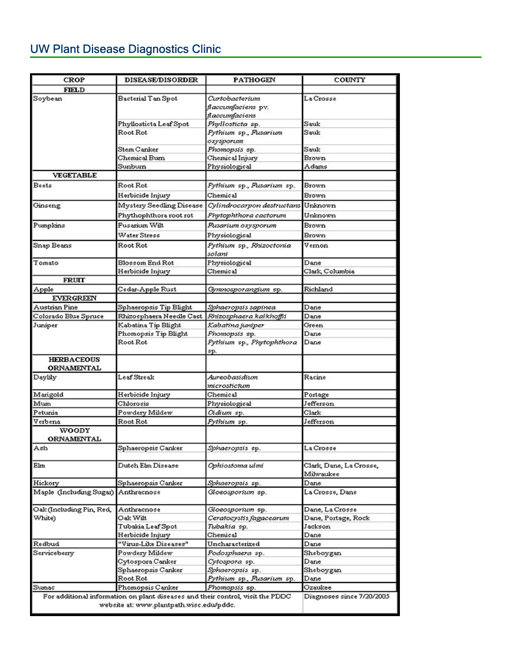## UW Plant Disease Diagnostics Clinic

| <b>CROP</b>                         | <b>DISEASE/DISORDER</b>                                                        | <b>PATHOGEN</b>                             | COUNTY                               |
|-------------------------------------|--------------------------------------------------------------------------------|---------------------------------------------|--------------------------------------|
| FIELD                               |                                                                                |                                             |                                      |
| Soybean                             | Bacterial Tan Spot                                                             | Curtobacterium<br>flaccumfaciens pv.        | La Crosse                            |
|                                     |                                                                                | flaccumfaciens                              |                                      |
|                                     | Phyllosticta Leaf Spot                                                         | Phyllosticta sp.                            | Sauk                                 |
|                                     | Root Rot                                                                       | Pythium sp., Pusarium<br>oxysporum          | Sauk                                 |
|                                     | Stem Canker                                                                    | Phomopsis sp.                               | Sauk                                 |
|                                     | Chemical Burn                                                                  | Chemical Injury                             | Brown                                |
|                                     | Sunburn                                                                        | Physiological                               | Adams                                |
| <b>VEGETABLE</b>                    |                                                                                |                                             |                                      |
| Beets                               | Root Rot                                                                       | Pythium sp., Pusarium sp.                   | Brown                                |
|                                     | Herbicide Injury                                                               | Chemical                                    | Brown                                |
| Ginseng                             | Mystery Seedling Disease                                                       | Cylindrocarpon destructans                  | Unknown                              |
|                                     | Phythophthora root rot                                                         | Phytophthora cactorum                       | Unknown                              |
| Pumplans                            | Fusanium Wilt                                                                  | Pusarium oxysporum                          | Brown                                |
|                                     | Water Stress                                                                   | Physiological                               | Brown                                |
|                                     |                                                                                |                                             |                                      |
| Snap Beans                          | Root Rot                                                                       | Pythium sp., Rhizoctonia<br>solani          | Vernon                               |
| Tomato                              | Blossom End Rot                                                                | Physiological                               | Dane                                 |
|                                     | Herbicide Injury                                                               | Chemical                                    | Clark, Columbia                      |
| FRUIT                               |                                                                                |                                             |                                      |
| Apple                               | Cedar-Apple Rust                                                               | Gymnosporangium sp.                         | Richland                             |
| <b>EVERGREEN</b>                    |                                                                                |                                             |                                      |
| Austrian Pine                       | Sphaeropsis Tip Blight                                                         | Sphaeropsis sapinea                         | Dane                                 |
| Colorado Blue Spruce                | Rhizosphaera Needle Cast <i>Rhizosphaera kalkhoffii</i>                        |                                             | Dane                                 |
| Juniper                             | Kabatina Tip Blight                                                            | Kabatina juniper                            | Green                                |
|                                     | Phomopsis Tip Blight                                                           | Phomopsis sp.                               | Dane                                 |
|                                     | Root Rot                                                                       | Pythium sp., Phytophthora<br>sp.            | Dane                                 |
| <b>HERBACEOUS</b><br>ORNAMENTAL     |                                                                                |                                             |                                      |
| Daylily                             | Leaf Streak                                                                    | Aureobasidium<br>microstictum               | Racine                               |
| Marigold                            | Herbicide Injury                                                               | Chemical                                    | Portage                              |
| Mun                                 | Chlorosis                                                                      | Physiological                               | Jefferson                            |
| Petunia                             | Powdery Mildew                                                                 | Oidium sp.                                  | Clark                                |
| Verbena                             | Root Rot                                                                       | Pythium sp.                                 | Jefferson                            |
| WOODY                               |                                                                                |                                             |                                      |
| ORNAMENTAL                          |                                                                                |                                             |                                      |
| Ash                                 | Sphaeropsis Canker                                                             | Sphaeropsis sp.                             | La Crosse                            |
|                                     |                                                                                |                                             |                                      |
| Elm                                 | Dutch Elm Disease                                                              | Ophiostoma ulmi                             | Clark, Dane, La Crosse,<br>Milwaukee |
| Hickory                             | Sphaeropsis Canker                                                             | Sphaeropsis sp.                             | Dane                                 |
| Maple (Including Sugar) Anthracnose |                                                                                | Gloeosporium sp.                            | La Crosse, Dane                      |
| Oak (Including Pin, Red,            | Anthracnose                                                                    |                                             | Dane, La Crosse                      |
| White)                              | Oak Wilt                                                                       | Gloeosporium sp.<br>Ceratocystis fagacearum | Dane, Portage, Rock                  |
|                                     | Tubakia Leaf Spot                                                              | Tubakia sp.                                 | Jackson                              |
|                                     | Herbicide Injury                                                               | Chemical                                    | Dane                                 |
| Redbud                              | "Virus-Like Diseases"                                                          | Uncharacterized                             | Dane                                 |
| Serviceberry                        | Powdery Mildew                                                                 | Podosphaera sp.                             | Sheboygan                            |
|                                     | Cytospora Canker                                                               | Cyfospora sp.                               | Dane                                 |
|                                     | Sphaeropsis Canker                                                             | Sphaeropsis sp.                             | Sheboygan                            |
|                                     | Root Rot                                                                       | Pythium sp., Pusarium sp.                   | Dane                                 |
| Sumac                               | Phomopsis Canker                                                               | Phomopsis sp.                               | Ozaukee                              |
|                                     | For additional information on plant diseases and their control, visit the PDDC |                                             | Diagnoses since 7/20/2005            |
|                                     | website at: www.plantpath.wisc.edu/pddc.                                       |                                             |                                      |